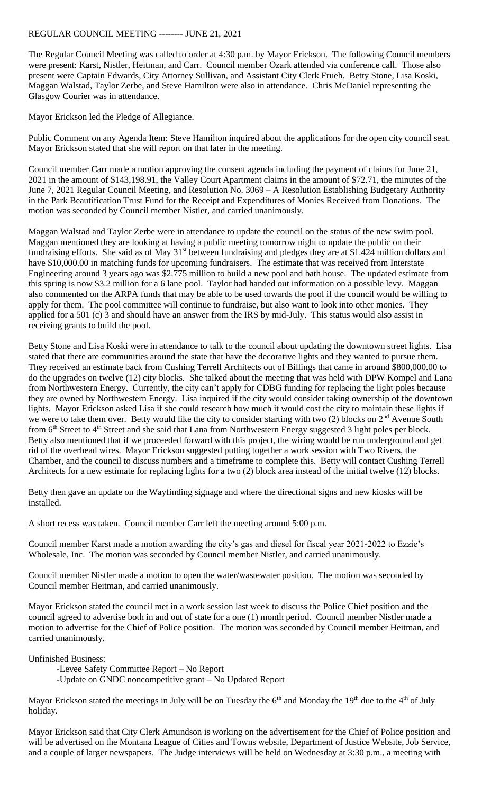## REGULAR COUNCIL MEETING -------- JUNE 21, 2021

The Regular Council Meeting was called to order at 4:30 p.m. by Mayor Erickson. The following Council members were present: Karst, Nistler, Heitman, and Carr. Council member Ozark attended via conference call. Those also present were Captain Edwards, City Attorney Sullivan, and Assistant City Clerk Frueh. Betty Stone, Lisa Koski, Maggan Walstad, Taylor Zerbe, and Steve Hamilton were also in attendance. Chris McDaniel representing the Glasgow Courier was in attendance.

Mayor Erickson led the Pledge of Allegiance.

Public Comment on any Agenda Item: Steve Hamilton inquired about the applications for the open city council seat. Mayor Erickson stated that she will report on that later in the meeting.

Council member Carr made a motion approving the consent agenda including the payment of claims for June 21, 2021 in the amount of \$143,198.91, the Valley Court Apartment claims in the amount of \$72.71, the minutes of the June 7, 2021 Regular Council Meeting, and Resolution No. 3069 – A Resolution Establishing Budgetary Authority in the Park Beautification Trust Fund for the Receipt and Expenditures of Monies Received from Donations. The motion was seconded by Council member Nistler, and carried unanimously.

Maggan Walstad and Taylor Zerbe were in attendance to update the council on the status of the new swim pool. Maggan mentioned they are looking at having a public meeting tomorrow night to update the public on their fundraising efforts. She said as of May 31<sup>st</sup> between fundraising and pledges they are at \$1.424 million dollars and have \$10,000.00 in matching funds for upcoming fundraisers. The estimate that was received from Interstate Engineering around 3 years ago was \$2.775 million to build a new pool and bath house. The updated estimate from this spring is now \$3.2 million for a 6 lane pool. Taylor had handed out information on a possible levy. Maggan also commented on the ARPA funds that may be able to be used towards the pool if the council would be willing to apply for them. The pool committee will continue to fundraise, but also want to look into other monies. They applied for a 501 (c) 3 and should have an answer from the IRS by mid-July. This status would also assist in receiving grants to build the pool.

Betty Stone and Lisa Koski were in attendance to talk to the council about updating the downtown street lights. Lisa stated that there are communities around the state that have the decorative lights and they wanted to pursue them. They received an estimate back from Cushing Terrell Architects out of Billings that came in around \$800,000.00 to do the upgrades on twelve (12) city blocks. She talked about the meeting that was held with DPW Kompel and Lana from Northwestern Energy. Currently, the city can't apply for CDBG funding for replacing the light poles because they are owned by Northwestern Energy. Lisa inquired if the city would consider taking ownership of the downtown lights. Mayor Erickson asked Lisa if she could research how much it would cost the city to maintain these lights if we were to take them over. Betty would like the city to consider starting with two  $(2)$  blocks on  $2<sup>nd</sup>$  Avenue South from 6<sup>th</sup> Street to 4<sup>th</sup> Street and she said that Lana from Northwestern Energy suggested 3 light poles per block. Betty also mentioned that if we proceeded forward with this project, the wiring would be run underground and get rid of the overhead wires. Mayor Erickson suggested putting together a work session with Two Rivers, the Chamber, and the council to discuss numbers and a timeframe to complete this. Betty will contact Cushing Terrell Architects for a new estimate for replacing lights for a two (2) block area instead of the initial twelve (12) blocks.

Betty then gave an update on the Wayfinding signage and where the directional signs and new kiosks will be installed.

A short recess was taken. Council member Carr left the meeting around 5:00 p.m.

Council member Karst made a motion awarding the city's gas and diesel for fiscal year 2021-2022 to Ezzie's Wholesale, Inc. The motion was seconded by Council member Nistler, and carried unanimously.

Council member Nistler made a motion to open the water/wastewater position. The motion was seconded by Council member Heitman, and carried unanimously.

Mayor Erickson stated the council met in a work session last week to discuss the Police Chief position and the council agreed to advertise both in and out of state for a one (1) month period. Council member Nistler made a motion to advertise for the Chief of Police position. The motion was seconded by Council member Heitman, and carried unanimously.

Unfinished Business:

-Levee Safety Committee Report – No Report

-Update on GNDC noncompetitive grant – No Updated Report

Mayor Erickson stated the meetings in July will be on Tuesday the  $6<sup>th</sup>$  and Monday the  $19<sup>th</sup>$  due to the  $4<sup>th</sup>$  of July holiday.

Mayor Erickson said that City Clerk Amundson is working on the advertisement for the Chief of Police position and will be advertised on the Montana League of Cities and Towns website, Department of Justice Website, Job Service, and a couple of larger newspapers. The Judge interviews will be held on Wednesday at 3:30 p.m., a meeting with